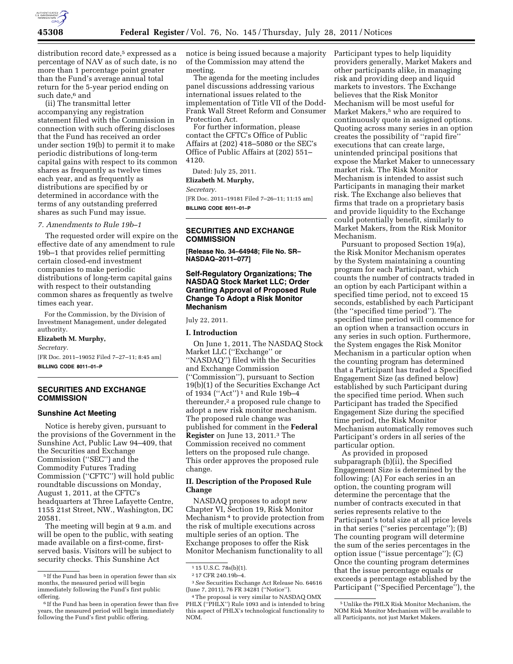

distribution record date,<sup>5</sup> expressed as a percentage of NAV as of such date, is no more than 1 percentage point greater than the Fund's average annual total return for the 5-year period ending on such date.<sup>6</sup> and

(ii) The transmittal letter accompanying any registration statement filed with the Commission in connection with such offering discloses that the Fund has received an order under section 19(b) to permit it to make periodic distributions of long-term capital gains with respect to its common shares as frequently as twelve times each year, and as frequently as distributions are specified by or determined in accordance with the terms of any outstanding preferred shares as such Fund may issue.

### *7. Amendments to Rule 19b–1*

The requested order will expire on the effective date of any amendment to rule 19b–1 that provides relief permitting certain closed-end investment companies to make periodic distributions of long-term capital gains with respect to their outstanding common shares as frequently as twelve times each year.

For the Commission, by the Division of Investment Management, under delegated authority.

#### **Elizabeth M. Murphy,**

*Secretary.* 

[FR Doc. 2011–19052 Filed 7–27–11; 8:45 am] **BILLING CODE 8011–01–P** 

## **SECURITIES AND EXCHANGE COMMISSION**

#### **Sunshine Act Meeting**

Notice is hereby given, pursuant to the provisions of the Government in the Sunshine Act, Public Law 94–409, that the Securities and Exchange Commission (''SEC'') and the Commodity Futures Trading Commission (''CFTC'') will hold public roundtable discussions on Monday, August 1, 2011, at the CFTC's headquarters at Three Lafayette Centre, 1155 21st Street, NW., Washington, DC 20581.

The meeting will begin at 9 a.m. and will be open to the public, with seating made available on a first-come, firstserved basis. Visitors will be subject to security checks. This Sunshine Act

notice is being issued because a majority of the Commission may attend the meeting.

The agenda for the meeting includes panel discussions addressing various international issues related to the implementation of Title VII of the Dodd-Frank Wall Street Reform and Consumer Protection Act.

For further information, please contact the CFTC's Office of Public Affairs at (202) 418–5080 or the SEC's Office of Public Affairs at (202) 551– 4120.

Dated: July 25, 2011.

**Elizabeth M. Murphy,** 

*Secretary.* 

[FR Doc. 2011–19181 Filed 7–26–11; 11:15 am] **BILLING CODE 8011–01–P** 

# **SECURITIES AND EXCHANGE COMMISSION**

**[Release No. 34–64948; File No. SR– NASDAQ–2011–077]** 

### **Self-Regulatory Organizations; The NASDAQ Stock Market LLC; Order Granting Approval of Proposed Rule Change To Adopt a Risk Monitor Mechanism**

July 22, 2011.

### **I. Introduction**

On June 1, 2011, The NASDAQ Stock Market LLC (''Exchange'' or ''NASDAQ'') filed with the Securities and Exchange Commission (''Commission''), pursuant to Section 19(b)(1) of the Securities Exchange Act of 1934 (''Act'') 1 and Rule 19b–4 thereunder,<sup>2</sup> a proposed rule change to adopt a new risk monitor mechanism. The proposed rule change was published for comment in the **Federal Register** on June 13, 2011.3 The Commission received no comment letters on the proposed rule change. This order approves the proposed rule change.

### **II. Description of the Proposed Rule Change**

NASDAQ proposes to adopt new Chapter VI, Section 19, Risk Monitor Mechanism 4 to provide protection from the risk of multiple executions across multiple series of an option. The Exchange proposes to offer the Risk Monitor Mechanism functionality to all

Participant types to help liquidity providers generally, Market Makers and other participants alike, in managing risk and providing deep and liquid markets to investors. The Exchange believes that the Risk Monitor Mechanism will be most useful for Market Makers,<sup>5</sup> who are required to continuously quote in assigned options. Quoting across many series in an option creates the possibility of ''rapid fire'' executions that can create large, unintended principal positions that expose the Market Maker to unnecessary market risk. The Risk Monitor Mechanism is intended to assist such Participants in managing their market risk. The Exchange also believes that firms that trade on a proprietary basis and provide liquidity to the Exchange could potentially benefit, similarly to Market Makers, from the Risk Monitor Mechanism.

Pursuant to proposed Section 19(a), the Risk Monitor Mechanism operates by the System maintaining a counting program for each Participant, which counts the number of contracts traded in an option by each Participant within a specified time period, not to exceed 15 seconds, established by each Participant (the ''specified time period''). The specified time period will commence for an option when a transaction occurs in any series in such option. Furthermore, the System engages the Risk Monitor Mechanism in a particular option when the counting program has determined that a Participant has traded a Specified Engagement Size (as defined below) established by such Participant during the specified time period. When such Participant has traded the Specified Engagement Size during the specified time period, the Risk Monitor Mechanism automatically removes such Participant's orders in all series of the particular option.

As provided in proposed subparagraph (b)(ii), the Specified Engagement Size is determined by the following: (A) For each series in an option, the counting program will determine the percentage that the number of contracts executed in that series represents relative to the Participant's total size at all price levels in that series (''series percentage''); (B) The counting program will determine the sum of the series percentages in the option issue (''issue percentage''); (C) Once the counting program determines that the issue percentage equals or exceeds a percentage established by the Participant (''Specified Percentage''), the

 $^{\rm 5}$  If the Fund has been in operation fewer than six months, the measured period will begin immediately following the Fund's first public offering.

<sup>6</sup> If the Fund has been in operation fewer than five years, the measured period will begin immediately following the Fund's first public offering.

<sup>1</sup> 15 U.S.C. 78s(b)(1).

<sup>2</sup> 17 CFR 240.19b–4.

<sup>3</sup>*See* Securities Exchange Act Release No. 64616 (June 7, 2011), 76 FR 34281 (''Notice'').

<sup>4</sup>The proposal is very similar to NASDAQ OMX PHLX ("PHLX") Rule 1093 and is intended to bring this aspect of PHLX's technological functionality to NOM.

<sup>5</sup>Unlike the PHLX Risk Monitor Mechanism, the NOM Risk Monitor Mechanism will be available to all Participants, not just Market Makers.